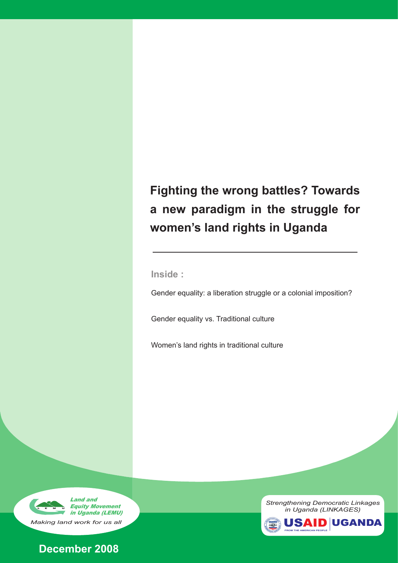# **Fighting the wrong battles? Towards a new paradigm in the struggle for women's land rights in Uganda**

*Fighting the wrong battle? A new paradigm for women's land rights*

**Inside :**

Gender equality: a liberation struggle or a colonial imposition?

Gender equality vs. Traditional culture

Women's land rights in traditional culture





*Strengthening Democratic Linkages in Uganda (LINKAGES)* 

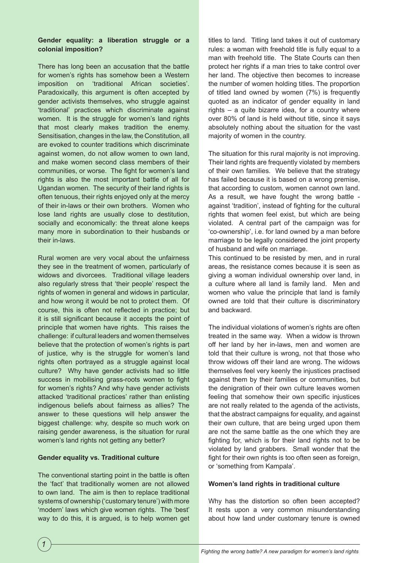## **Gender equality: a liberation struggle or a colonial imposition?**

There has long been an accusation that the battle for women's rights has somehow been a Western imposition on 'traditional African societies'. Paradoxically, this argument is often accepted by gender activists themselves, who struggle against 'traditional' practices which discriminate against women. It is the struggle for women's land rights that most clearly makes tradition the enemy. Sensitisation, changes in the law, the Constitution, all are evoked to counter traditions which discriminate against women, do not allow women to own land, and make women second class members of their communities, or worse. The fight for women's land rights is also the most important battle of all for Ugandan women. The security of their land rights is often tenuous, their rights enjoyed only at the mercy of their in-laws or their own brothers. Women who lose land rights are usually close to destitution, socially and economically: the threat alone keeps many more in subordination to their husbands or their in-laws.

Rural women are very vocal about the unfairness they see in the treatment of women, particularly of widows and divorcees. Traditional village leaders also regularly stress that 'their people' respect the rights of women in general and widows in particular, and how wrong it would be not to protect them. Of course, this is often not reflected in practice; but it is still significant because it accepts the point of principle that women have rights. This raises the challenge: if cultural leaders and women themselves believe that the protection of women's rights is part of justice, why is the struggle for women's land rights often portrayed as a struggle against local culture? Why have gender activists had so little success in mobilising grass-roots women to fight for women's rights? And why have gender activists attacked 'traditional practices' rather than enlisting indigenous beliefs about fairness as allies? The answer to these questions will help answer the biggest challenge: why, despite so much work on raising gender awareness, is the situation for rural women's land rights not getting any better?

## **Gender equality vs. Traditional culture**

The conventional starting point in the battle is often the 'fact' that traditionally women are not allowed to own land. The aim is then to replace traditional systems of ownership ('customary tenure') with more 'modern' laws which give women rights. The 'best' way to do this, it is argued, is to help women get titles to land. Titling land takes it out of customary rules: a woman with freehold title is fully equal to a man with freehold title. The State Courts can then protect her rights if a man tries to take control over her land. The objective then becomes to increase the number of women holding titles. The proportion of titled land owned by women (7%) is frequently quoted as an indicator of gender equality in land rights – a quite bizarre idea, for a country where over 80% of land is held without title, since it says absolutely nothing about the situation for the vast majority of women in the country.

The situation for this rural majority is not improving. Their land rights are frequently violated by members of their own families. We believe that the strategy has failed because it is based on a wrong premise, that according to custom, women cannot own land. As a result, we have fought the wrong battle against 'tradition', instead of fighting for the cultural rights that women feel exist, but which are being violated. A central part of the campaign was for 'co-ownership', i.e. for land owned by a man before marriage to be legally considered the joint property of husband and wife on marriage.

This continued to be resisted by men, and in rural areas, the resistance comes because it is seen as giving a woman individual ownership over land, in a culture where all land is family land. Men and women who value the principle that land is family owned are told that their culture is discriminatory and backward.

The individual violations of women's rights are often treated in the same way. When a widow is thrown off her land by her in-laws, men and women are told that their culture is wrong, not that those who throw widows off their land are wrong. The widows themselves feel very keenly the injustices practised against them by their families or communities, but the denigration of their own culture leaves women feeling that somehow their own specific injustices are not really related to the agenda of the activists, that the abstract campaigns for equality, and against their own culture, that are being urged upon them are not the same battle as the one which they are fighting for, which is for their land rights not to be violated by land grabbers. Small wonder that the fight for their own rights is too often seen as foreign, or 'something from Kampala'.

## **Women's land rights in traditional culture**

Why has the distortion so often been accepted? It rests upon a very common misunderstanding about how land under customary tenure is owned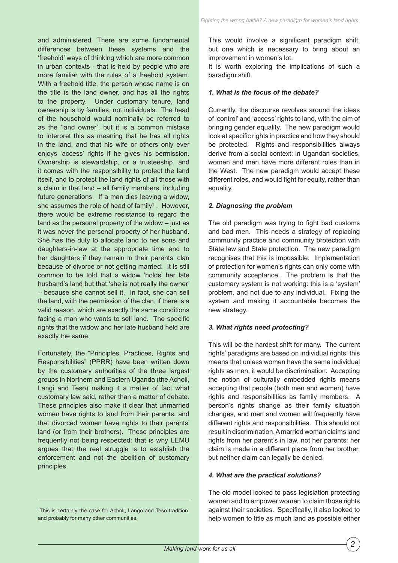and administered. There are some fundamental differences between these systems and the 'freehold' ways of thinking which are more common in urban contexts - that is held by people who are more familiar with the rules of a freehold system. With a freehold title, the person whose name is on the title is the land owner, and has all the rights to the property. Under customary tenure, land ownership is by families, not individuals. The head of the household would nominally be referred to as the 'land owner', but it is a common mistake to interpret this as meaning that he has all rights in the land, and that his wife or others only ever enjoys 'access' rights if he gives his permission. Ownership is stewardship, or a trusteeship, and it comes with the responsibility to protect the land itself, and to protect the land rights of all those with a claim in that land – all family members, including future generations. If a man dies leaving a widow, she assumes the role of head of family<sup>1</sup>. However, there would be extreme resistance to regard the land as the personal property of the widow – just as it was never the personal property of her husband. She has the duty to allocate land to her sons and daughters-in-law at the appropriate time and to her daughters if they remain in their parents' clan because of divorce or not getting married. It is still common to be told that a widow 'holds' her late husband's land but that 'she is not really the owner' – because she cannot sell it. In fact, she can sell the land, with the permission of the clan, if there is a valid reason, which are exactly the same conditions facing a man who wants to sell land. The specific rights that the widow and her late husband held are exactly the same.

Fortunately, the "Principles, Practices, Rights and Responsibilities" (PPRR) have been written down by the customary authorities of the three largest groups in Northern and Eastern Uganda (the Acholi, Langi and Teso) making it a matter of fact what customary law said, rather than a matter of debate. These principles also make it clear that unmarried women have rights to land from their parents, and that divorced women have rights to their parents' land (or from their brothers). These principles are frequently not being respected: that is why LEMU argues that the real struggle is to establish the enforcement and not the abolition of customary principles.

1 This is certainly the case for Acholi, Lango and Teso tradition, and probably for many other communities.

This would involve a significant paradigm shift, but one which is necessary to bring about an improvement in women's lot.

It is worth exploring the implications of such a paradigm shift.

## *1. What is the focus of the debate?*

Currently, the discourse revolves around the ideas of 'control' and 'access' rights to land, with the aim of bringing gender equality. The new paradigm would look at specific rights in practice and how they should be protected. Rights and responsibilities always derive from a social context: in Ugandan societies, women and men have more different roles than in the West. The new paradigm would accept these different roles, and would fight for equity, rather than equality.

#### *2. Diagnosing the problem*

The old paradigm was trying to fight bad customs and bad men. This needs a strategy of replacing community practice and community protection with State law and State protection. The new paradigm recognises that this is impossible. Implementation of protection for women's rights can only come with community acceptance. The problem is that the customary system is not working: this is a 'system' problem, and not due to any individual. Fixing the system and making it accountable becomes the new strategy.

#### *3. What rights need protecting?*

This will be the hardest shift for many. The current rights' paradigms are based on individual rights: this means that unless women have the same individual rights as men, it would be discrimination. Accepting the notion of culturally embedded rights means accepting that people (both men and women) have rights and responsibilities as family members. A person's rights change as their family situation changes, and men and women will frequently have different rights and responsibilities. This should not result in discrimination. A married woman claims land rights from her parent's in law, not her parents: her claim is made in a different place from her brother, but neither claim can legally be denied.

#### *4. What are the practical solutions?*

The old model looked to pass legislation protecting women and to empower women to claim those rights against their societies. Specifically, it also looked to help women to title as much land as possible either